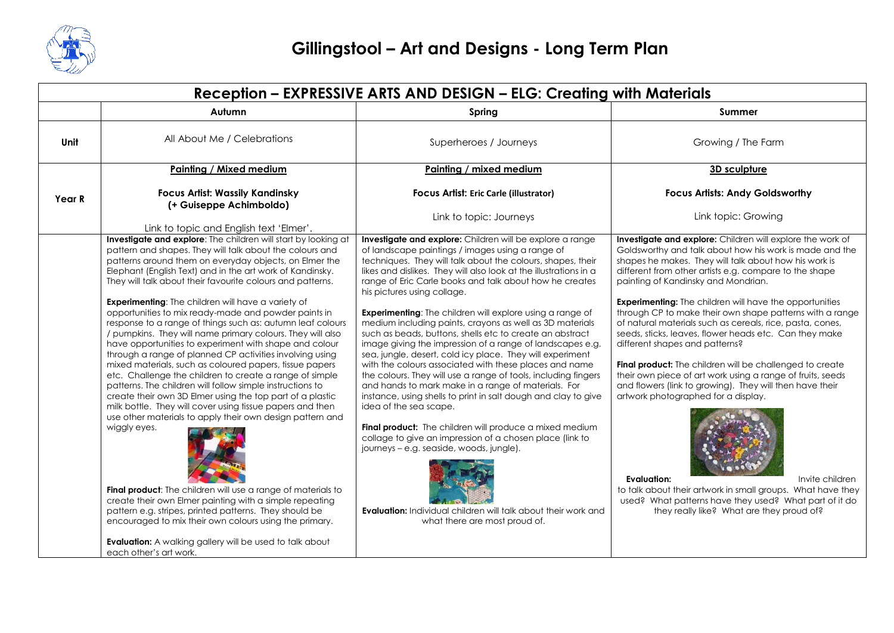

| Reception - EXPRESSIVE ARTS AND DESIGN - ELG: Creating with Materials |                                                                                                                                                                                                                                                                                                                                                                                                                                                                                                                                                                                                                                                                                                                                                                                                                                                                                                                                                                                                                                                                                                                                                                                                                                                                                                                          |                                                                                                                                                                                                                                                                                                                                                                                                                                                                                                                                                                                                                                                                                                                                                                                                                                                                                                                                                                                                                                                                                                                                                                                                                                      |                                                                                                                                                                                                                                                                                                                                                                                                                                                                                                                                                                                                                                                                                                                                                                                                                                                                                                                                                                                                                    |  |
|-----------------------------------------------------------------------|--------------------------------------------------------------------------------------------------------------------------------------------------------------------------------------------------------------------------------------------------------------------------------------------------------------------------------------------------------------------------------------------------------------------------------------------------------------------------------------------------------------------------------------------------------------------------------------------------------------------------------------------------------------------------------------------------------------------------------------------------------------------------------------------------------------------------------------------------------------------------------------------------------------------------------------------------------------------------------------------------------------------------------------------------------------------------------------------------------------------------------------------------------------------------------------------------------------------------------------------------------------------------------------------------------------------------|--------------------------------------------------------------------------------------------------------------------------------------------------------------------------------------------------------------------------------------------------------------------------------------------------------------------------------------------------------------------------------------------------------------------------------------------------------------------------------------------------------------------------------------------------------------------------------------------------------------------------------------------------------------------------------------------------------------------------------------------------------------------------------------------------------------------------------------------------------------------------------------------------------------------------------------------------------------------------------------------------------------------------------------------------------------------------------------------------------------------------------------------------------------------------------------------------------------------------------------|--------------------------------------------------------------------------------------------------------------------------------------------------------------------------------------------------------------------------------------------------------------------------------------------------------------------------------------------------------------------------------------------------------------------------------------------------------------------------------------------------------------------------------------------------------------------------------------------------------------------------------------------------------------------------------------------------------------------------------------------------------------------------------------------------------------------------------------------------------------------------------------------------------------------------------------------------------------------------------------------------------------------|--|
|                                                                       | Autumn                                                                                                                                                                                                                                                                                                                                                                                                                                                                                                                                                                                                                                                                                                                                                                                                                                                                                                                                                                                                                                                                                                                                                                                                                                                                                                                   | Spring                                                                                                                                                                                                                                                                                                                                                                                                                                                                                                                                                                                                                                                                                                                                                                                                                                                                                                                                                                                                                                                                                                                                                                                                                               | <b>Summer</b>                                                                                                                                                                                                                                                                                                                                                                                                                                                                                                                                                                                                                                                                                                                                                                                                                                                                                                                                                                                                      |  |
| Unit                                                                  | All About Me / Celebrations                                                                                                                                                                                                                                                                                                                                                                                                                                                                                                                                                                                                                                                                                                                                                                                                                                                                                                                                                                                                                                                                                                                                                                                                                                                                                              | Superheroes / Journeys                                                                                                                                                                                                                                                                                                                                                                                                                                                                                                                                                                                                                                                                                                                                                                                                                                                                                                                                                                                                                                                                                                                                                                                                               | Growing / The Farm                                                                                                                                                                                                                                                                                                                                                                                                                                                                                                                                                                                                                                                                                                                                                                                                                                                                                                                                                                                                 |  |
|                                                                       | Painting / Mixed medium                                                                                                                                                                                                                                                                                                                                                                                                                                                                                                                                                                                                                                                                                                                                                                                                                                                                                                                                                                                                                                                                                                                                                                                                                                                                                                  | Painting / mixed medium                                                                                                                                                                                                                                                                                                                                                                                                                                                                                                                                                                                                                                                                                                                                                                                                                                                                                                                                                                                                                                                                                                                                                                                                              | 3D sculpture                                                                                                                                                                                                                                                                                                                                                                                                                                                                                                                                                                                                                                                                                                                                                                                                                                                                                                                                                                                                       |  |
| Year R                                                                | <b>Focus Artist: Wassily Kandinsky</b><br>(+ Guiseppe Achimboldo)                                                                                                                                                                                                                                                                                                                                                                                                                                                                                                                                                                                                                                                                                                                                                                                                                                                                                                                                                                                                                                                                                                                                                                                                                                                        | Focus Artist: Eric Carle (illustrator)                                                                                                                                                                                                                                                                                                                                                                                                                                                                                                                                                                                                                                                                                                                                                                                                                                                                                                                                                                                                                                                                                                                                                                                               | <b>Focus Artists: Andy Goldsworthy</b>                                                                                                                                                                                                                                                                                                                                                                                                                                                                                                                                                                                                                                                                                                                                                                                                                                                                                                                                                                             |  |
|                                                                       | Link to topic and English text 'Elmer'.                                                                                                                                                                                                                                                                                                                                                                                                                                                                                                                                                                                                                                                                                                                                                                                                                                                                                                                                                                                                                                                                                                                                                                                                                                                                                  | Link to topic: Journeys                                                                                                                                                                                                                                                                                                                                                                                                                                                                                                                                                                                                                                                                                                                                                                                                                                                                                                                                                                                                                                                                                                                                                                                                              | Link topic: Growing                                                                                                                                                                                                                                                                                                                                                                                                                                                                                                                                                                                                                                                                                                                                                                                                                                                                                                                                                                                                |  |
|                                                                       | Investigate and explore: The children will start by looking at<br>pattern and shapes. They will talk about the colours and<br>patterns around them on everyday objects, on Elmer the<br>Elephant (English Text) and in the art work of Kandinsky.<br>They will talk about their favourite colours and patterns.<br>Experimenting: The children will have a variety of<br>opportunities to mix ready-made and powder paints in<br>response to a range of things such as: autumn leaf colours<br>/ pumpkins. They will name primary colours. They will also<br>have opportunities to experiment with shape and colour<br>through a range of planned CP activities involving using<br>mixed materials, such as coloured papers, tissue papers<br>etc. Challenge the children to create a range of simple<br>patterns. The children will follow simple instructions to<br>create their own 3D Elmer using the top part of a plastic<br>milk bottle. They will cover using tissue papers and then<br>use other materials to apply their own design pattern and<br>wiggly eyes.<br>Final product: The children will use a range of materials to<br>create their own Elmer painting with a simple repeating<br>pattern e.g. stripes, printed patterns. They should be<br>encouraged to mix their own colours using the primary. | Investigate and explore: Children will be explore a range<br>of landscape paintings / images using a range of<br>techniques. They will talk about the colours, shapes, their<br>likes and dislikes. They will also look at the illustrations in a<br>range of Eric Carle books and talk about how he creates<br>his pictures using collage.<br><b>Experimenting:</b> The children will explore using a range of<br>medium including paints, crayons as well as 3D materials<br>such as beads, buttons, shells etc to create an abstract<br>image giving the impression of a range of landscapes e.g.<br>sea, jungle, desert, cold icy place. They will experiment<br>with the colours associated with these places and name<br>the colours. They will use a range of tools, including fingers<br>and hands to mark make in a range of materials. For<br>instance, using shells to print in salt dough and clay to give<br>idea of the sea scape.<br><b>Final product:</b> The children will produce a mixed medium<br>collage to give an impression of a chosen place (link to<br>journeys - e.g. seaside, woods, jungle).<br><b>Evaluation:</b> Individual children will talk about their work and<br>what there are most proud of. | Investigate and explore: Children will explore the work of<br>Goldsworthy and talk about how his work is made and the<br>shapes he makes. They will talk about how his work is<br>different from other artists e.g. compare to the shape<br>painting of Kandinsky and Mondrian.<br><b>Experimenting:</b> The children will have the opportunities<br>through CP to make their own shape patterns with a range<br>of natural materials such as cereals, rice, pasta, cones,<br>seeds, sticks, leaves, flower heads etc. Can they make<br>different shapes and patterns?<br>Final product: The children will be challenged to create<br>their own piece of art work using a range of fruits, seeds<br>and flowers (link to growing). They will then have their<br>artwork photographed for a display.<br><b>Evaluation:</b><br>Invite children<br>to talk about their artwork in small groups. What have they<br>used? What patterns have they used? What part of it do<br>they really like? What are they proud of? |  |
|                                                                       | <b>Evaluation:</b> A walking gallery will be used to talk about<br>each other's art work.                                                                                                                                                                                                                                                                                                                                                                                                                                                                                                                                                                                                                                                                                                                                                                                                                                                                                                                                                                                                                                                                                                                                                                                                                                |                                                                                                                                                                                                                                                                                                                                                                                                                                                                                                                                                                                                                                                                                                                                                                                                                                                                                                                                                                                                                                                                                                                                                                                                                                      |                                                                                                                                                                                                                                                                                                                                                                                                                                                                                                                                                                                                                                                                                                                                                                                                                                                                                                                                                                                                                    |  |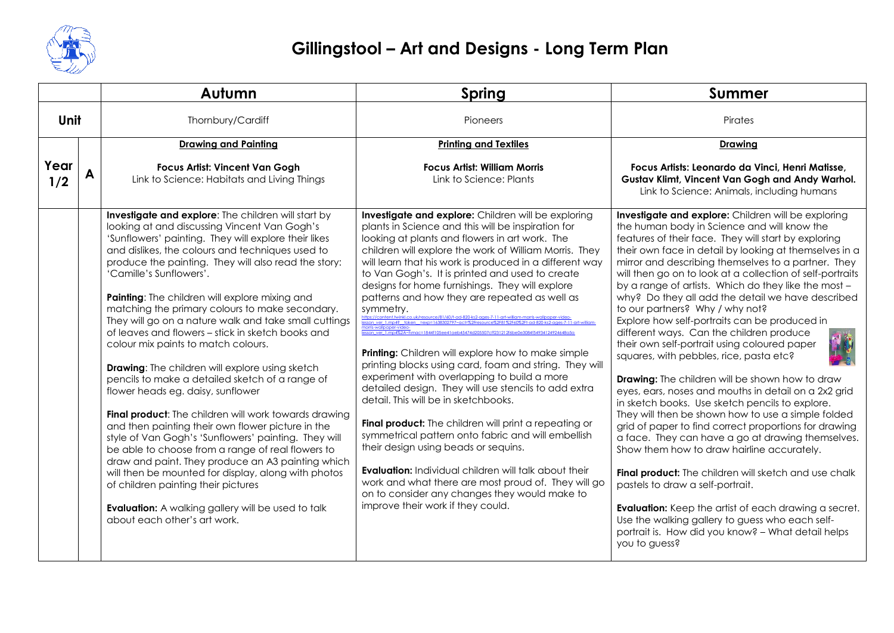

|             |  | Autumn                                                                                                                                                                                                                                                                                                                                                                                                                                                                                                                                                                                                                                                                                                                                                                                                                                                                                                                                                                                                                                                                                                                                                                                    | <b>Spring</b>                                                                                                                                                                                                                                                                                                                                                                                                                                                                                                                                                                                                                                                                                                                                                                                                                                                                                                                                                                                                                                                                                                                                                                    | <b>Summer</b>                                                                                                                                                                                                                                                                                                                                                                                                                                                                                                                                                                                                                                                                                                                                                                                                                                                                                                                                                                                                                                                                                                                                                                                                                                                                                                                                                  |
|-------------|--|-------------------------------------------------------------------------------------------------------------------------------------------------------------------------------------------------------------------------------------------------------------------------------------------------------------------------------------------------------------------------------------------------------------------------------------------------------------------------------------------------------------------------------------------------------------------------------------------------------------------------------------------------------------------------------------------------------------------------------------------------------------------------------------------------------------------------------------------------------------------------------------------------------------------------------------------------------------------------------------------------------------------------------------------------------------------------------------------------------------------------------------------------------------------------------------------|----------------------------------------------------------------------------------------------------------------------------------------------------------------------------------------------------------------------------------------------------------------------------------------------------------------------------------------------------------------------------------------------------------------------------------------------------------------------------------------------------------------------------------------------------------------------------------------------------------------------------------------------------------------------------------------------------------------------------------------------------------------------------------------------------------------------------------------------------------------------------------------------------------------------------------------------------------------------------------------------------------------------------------------------------------------------------------------------------------------------------------------------------------------------------------|----------------------------------------------------------------------------------------------------------------------------------------------------------------------------------------------------------------------------------------------------------------------------------------------------------------------------------------------------------------------------------------------------------------------------------------------------------------------------------------------------------------------------------------------------------------------------------------------------------------------------------------------------------------------------------------------------------------------------------------------------------------------------------------------------------------------------------------------------------------------------------------------------------------------------------------------------------------------------------------------------------------------------------------------------------------------------------------------------------------------------------------------------------------------------------------------------------------------------------------------------------------------------------------------------------------------------------------------------------------|
| Unit        |  | Thornbury/Cardiff                                                                                                                                                                                                                                                                                                                                                                                                                                                                                                                                                                                                                                                                                                                                                                                                                                                                                                                                                                                                                                                                                                                                                                         | Pioneers                                                                                                                                                                                                                                                                                                                                                                                                                                                                                                                                                                                                                                                                                                                                                                                                                                                                                                                                                                                                                                                                                                                                                                         | Pirates                                                                                                                                                                                                                                                                                                                                                                                                                                                                                                                                                                                                                                                                                                                                                                                                                                                                                                                                                                                                                                                                                                                                                                                                                                                                                                                                                        |
|             |  | <b>Drawing and Painting</b>                                                                                                                                                                                                                                                                                                                                                                                                                                                                                                                                                                                                                                                                                                                                                                                                                                                                                                                                                                                                                                                                                                                                                               | <b>Printing and Textiles</b>                                                                                                                                                                                                                                                                                                                                                                                                                                                                                                                                                                                                                                                                                                                                                                                                                                                                                                                                                                                                                                                                                                                                                     | <b>Drawing</b>                                                                                                                                                                                                                                                                                                                                                                                                                                                                                                                                                                                                                                                                                                                                                                                                                                                                                                                                                                                                                                                                                                                                                                                                                                                                                                                                                 |
| Year<br>1/2 |  | <b>Focus Artist: Vincent Van Gogh</b><br>Link to Science: Habitats and Living Things                                                                                                                                                                                                                                                                                                                                                                                                                                                                                                                                                                                                                                                                                                                                                                                                                                                                                                                                                                                                                                                                                                      | <b>Focus Artist: William Morris</b><br>Link to Science: Plants                                                                                                                                                                                                                                                                                                                                                                                                                                                                                                                                                                                                                                                                                                                                                                                                                                                                                                                                                                                                                                                                                                                   | Focus Artists: Leonardo da Vinci, Henri Matisse,<br>Gustav Klimt, Vincent Van Gogh and Andy Warhol.<br>Link to Science: Animals, including humans                                                                                                                                                                                                                                                                                                                                                                                                                                                                                                                                                                                                                                                                                                                                                                                                                                                                                                                                                                                                                                                                                                                                                                                                              |
|             |  | Investigate and explore: The children will start by<br>looking at and discussing Vincent Van Gogh's<br>'Sunflowers' painting. They will explore their likes<br>and dislikes, the colours and techniques used to<br>produce the painting. They will also read the story:<br>'Camille's Sunflowers'.<br>Painting: The children will explore mixing and<br>matching the primary colours to make secondary.<br>They will go on a nature walk and take small cuttings<br>of leaves and flowers - stick in sketch books and<br>colour mix paints to match colours.<br><b>Drawing:</b> The children will explore using sketch<br>pencils to make a detailed sketch of a range of<br>flower heads eg. daisy, sunflower<br>Final product: The children will work towards drawing<br>and then painting their own flower picture in the<br>style of Van Gogh's 'Sunflowers' painting. They will<br>be able to choose from a range of real flowers to<br>draw and paint. They produce an A3 painting which<br>will then be mounted for display, along with photos<br>of children painting their pictures<br><b>Evaluation:</b> A walking gallery will be used to talk<br>about each other's art work. | Investigate and explore: Children will be exploring<br>plants in Science and this will be inspiration for<br>looking at plants and flowers in art work. The<br>children will explore the work of William Morris. They<br>will learn that his work is produced in a different way<br>to Van Gogh's. It is printed and used to create<br>designs for home furnishings. They will explore<br>patterns and how they are repeated as well as<br>symmetry.<br>vinkl.co.uk/resource/81/60/t-ad-820-ks2-ages-7-11-art-<br>ion_ver_1.mp4? token<br><b>Printing:</b> Children will explore how to make simple<br>printing blocks using card, foam and string. They will<br>experiment with overlapping to build a more<br>detailed design. They will use stencils to add extra<br>detail. This will be in sketchbooks.<br>Final product: The children will print a repeating or<br>symmetrical pattern onto fabric and will embellish<br>their design using beads or sequins.<br><b>Evaluation:</b> Individual children will talk about their<br>work and what there are most proud of. They will go<br>on to consider any changes they would make to<br>improve their work if they could. | Investigate and explore: Children will be exploring<br>the human body in Science and will know the<br>features of their face. They will start by exploring<br>their own face in detail by looking at themselves in a<br>mirror and describing themselves to a partner. They<br>will then go on to look at a collection of self-portraits<br>by a range of artists. Which do they like the most -<br>why? Do they all add the detail we have described<br>to our partners? Why / why not?<br>Explore how self-portraits can be produced in<br>different ways. Can the children produce<br>their own self-portrait using coloured paper<br>squares, with pebbles, rice, pasta etc?<br><b>Drawing:</b> The children will be shown how to draw<br>eyes, ears, noses and mouths in detail on a 2x2 grid<br>in sketch books. Use sketch pencils to explore.<br>They will then be shown how to use a simple folded<br>grid of paper to find correct proportions for drawing<br>a face. They can have a go at drawing themselves.<br>Show them how to draw hairline accurately.<br>Final product: The children will sketch and use chalk<br>pastels to draw a self-portrait.<br><b>Evaluation:</b> Keep the artist of each drawing a secret.<br>Use the walking gallery to guess who each self-<br>portrait is. How did you know? - What detail helps<br>you to guess? |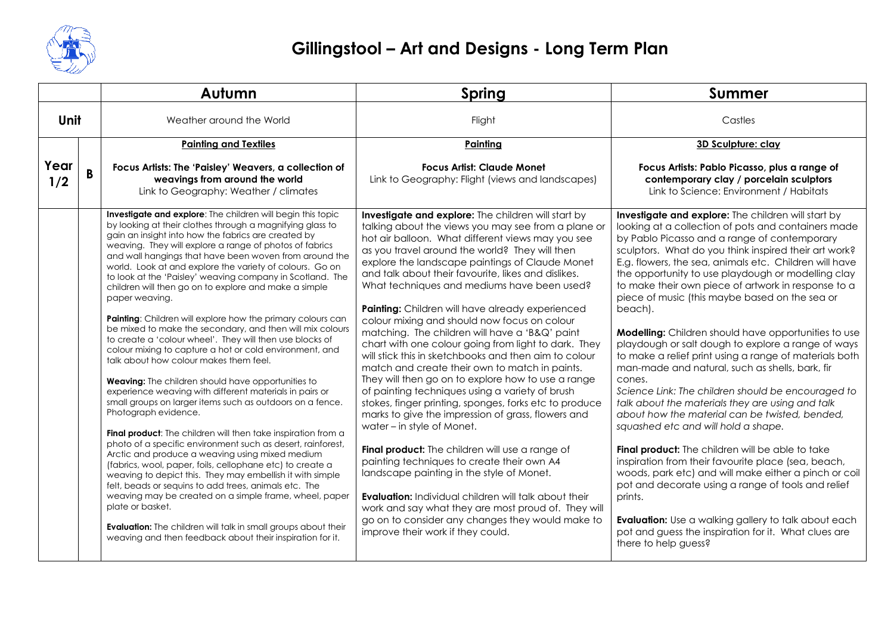

|             |              | Autumn                                                                                                                                                                                                                                                                                                                                                                                                                                                                                                                                                                                                                                                                                                                                                                                                                                                                                                                                                                                                                                                                                                                                                                                                                                                                                                                                                                                                                                                                                                                                                                                                       | <b>Spring</b>                                                                                                                                                                                                                                                                                                                                                                                                                                                                                                                                                                                                                                                                                                                                                                                                                                                                                                                                                                                                                                                                                                                                                                                                                                                                                                            | <b>Summer</b>                                                                                                                                                                                                                                                                                                                                                                                                                                                                                                                                                                                                                                                                                                                                                                                                                                                                                                                                                                                                                                                                                                                                                                                                                                                                       |
|-------------|--------------|--------------------------------------------------------------------------------------------------------------------------------------------------------------------------------------------------------------------------------------------------------------------------------------------------------------------------------------------------------------------------------------------------------------------------------------------------------------------------------------------------------------------------------------------------------------------------------------------------------------------------------------------------------------------------------------------------------------------------------------------------------------------------------------------------------------------------------------------------------------------------------------------------------------------------------------------------------------------------------------------------------------------------------------------------------------------------------------------------------------------------------------------------------------------------------------------------------------------------------------------------------------------------------------------------------------------------------------------------------------------------------------------------------------------------------------------------------------------------------------------------------------------------------------------------------------------------------------------------------------|--------------------------------------------------------------------------------------------------------------------------------------------------------------------------------------------------------------------------------------------------------------------------------------------------------------------------------------------------------------------------------------------------------------------------------------------------------------------------------------------------------------------------------------------------------------------------------------------------------------------------------------------------------------------------------------------------------------------------------------------------------------------------------------------------------------------------------------------------------------------------------------------------------------------------------------------------------------------------------------------------------------------------------------------------------------------------------------------------------------------------------------------------------------------------------------------------------------------------------------------------------------------------------------------------------------------------|-------------------------------------------------------------------------------------------------------------------------------------------------------------------------------------------------------------------------------------------------------------------------------------------------------------------------------------------------------------------------------------------------------------------------------------------------------------------------------------------------------------------------------------------------------------------------------------------------------------------------------------------------------------------------------------------------------------------------------------------------------------------------------------------------------------------------------------------------------------------------------------------------------------------------------------------------------------------------------------------------------------------------------------------------------------------------------------------------------------------------------------------------------------------------------------------------------------------------------------------------------------------------------------|
| Unit        |              | Weather around the World                                                                                                                                                                                                                                                                                                                                                                                                                                                                                                                                                                                                                                                                                                                                                                                                                                                                                                                                                                                                                                                                                                                                                                                                                                                                                                                                                                                                                                                                                                                                                                                     | Flight                                                                                                                                                                                                                                                                                                                                                                                                                                                                                                                                                                                                                                                                                                                                                                                                                                                                                                                                                                                                                                                                                                                                                                                                                                                                                                                   | Castles                                                                                                                                                                                                                                                                                                                                                                                                                                                                                                                                                                                                                                                                                                                                                                                                                                                                                                                                                                                                                                                                                                                                                                                                                                                                             |
|             |              | <b>Painting and Textiles</b>                                                                                                                                                                                                                                                                                                                                                                                                                                                                                                                                                                                                                                                                                                                                                                                                                                                                                                                                                                                                                                                                                                                                                                                                                                                                                                                                                                                                                                                                                                                                                                                 | Painting                                                                                                                                                                                                                                                                                                                                                                                                                                                                                                                                                                                                                                                                                                                                                                                                                                                                                                                                                                                                                                                                                                                                                                                                                                                                                                                 | 3D Sculpture: clay                                                                                                                                                                                                                                                                                                                                                                                                                                                                                                                                                                                                                                                                                                                                                                                                                                                                                                                                                                                                                                                                                                                                                                                                                                                                  |
| Year<br>1/2 | $\mathbf{B}$ | Focus Artists: The 'Paisley' Weavers, a collection of<br>weavings from around the world<br>Link to Geography: Weather / climates                                                                                                                                                                                                                                                                                                                                                                                                                                                                                                                                                                                                                                                                                                                                                                                                                                                                                                                                                                                                                                                                                                                                                                                                                                                                                                                                                                                                                                                                             | <b>Focus Artist: Claude Monet</b><br>Link to Geography: Flight (views and landscapes)                                                                                                                                                                                                                                                                                                                                                                                                                                                                                                                                                                                                                                                                                                                                                                                                                                                                                                                                                                                                                                                                                                                                                                                                                                    | Focus Artists: Pablo Picasso, plus a range of<br>contemporary clay / porcelain sculptors<br>Link to Science: Environment / Habitats                                                                                                                                                                                                                                                                                                                                                                                                                                                                                                                                                                                                                                                                                                                                                                                                                                                                                                                                                                                                                                                                                                                                                 |
|             |              | Investigate and explore: The children will begin this topic<br>by looking at their clothes through a magnifying glass to<br>gain an insight into how the fabrics are created by<br>weaving. They will explore a range of photos of fabrics<br>and wall hangings that have been woven from around the<br>world. Look at and explore the variety of colours. Go on<br>to look at the 'Paisley' weaving company in Scotland. The<br>children will then go on to explore and make a simple<br>paper weaving.<br>Painting: Children will explore how the primary colours can<br>be mixed to make the secondary, and then will mix colours<br>to create a 'colour wheel'. They will then use blocks of<br>colour mixing to capture a hot or cold environment, and<br>talk about how colour makes them feel.<br><b>Weaving:</b> The children should have opportunities to<br>experience weaving with different materials in pairs or<br>small groups on larger items such as outdoors on a fence.<br>Photograph evidence.<br>Final product: The children will then take inspiration from a<br>photo of a specific environment such as desert, rainforest,<br>Arctic and produce a weaving using mixed medium<br>(fabrics, wool, paper, foils, cellophane etc) to create a<br>weaving to depict this. They may embellish it with simple<br>felt, beads or sequins to add trees, animals etc. The<br>weaving may be created on a simple frame, wheel, paper<br>plate or basket.<br><b>Evaluation:</b> The children will talk in small groups about their<br>weaving and then feedback about their inspiration for it. | Investigate and explore: The children will start by<br>talking about the views you may see from a plane or<br>hot air balloon. What different views may you see<br>as you travel around the world? They will then<br>explore the landscape paintings of Claude Monet<br>and talk about their favourite, likes and dislikes.<br>What techniques and mediums have been used?<br>Painting: Children will have already experienced<br>colour mixing and should now focus on colour<br>matching. The children will have a 'B&Q' paint<br>chart with one colour going from light to dark. They<br>will stick this in sketchbooks and then aim to colour<br>match and create their own to match in paints.<br>They will then go on to explore how to use a range<br>of painting techniques using a variety of brush<br>stokes, finger printing, sponges, forks etc to produce<br>marks to give the impression of grass, flowers and<br>water – in style of Monet.<br>Final product: The children will use a range of<br>painting techniques to create their own A4<br>landscape painting in the style of Monet.<br><b>Evaluation:</b> Individual children will talk about their<br>work and say what they are most proud of. They will<br>go on to consider any changes they would make to<br>improve their work if they could. | Investigate and explore: The children will start by<br>looking at a collection of pots and containers made<br>by Pablo Picasso and a range of contemporary<br>sculptors. What do you think inspired their art work?<br>E.g. flowers, the sea, animals etc. Children will have<br>the opportunity to use playdough or modelling clay<br>to make their own piece of artwork in response to a<br>piece of music (this maybe based on the sea or<br>beach).<br><b>Modelling:</b> Children should have opportunities to use<br>playdough or salt dough to explore a range of ways<br>to make a relief print using a range of materials both<br>man-made and natural, such as shells, bark, fir<br>cones.<br>Science Link: The children should be encouraged to<br>talk about the materials they are using and talk<br>about how the material can be twisted, bended,<br>squashed etc and will hold a shape.<br>Final product: The children will be able to take<br>inspiration from their favourite place (sea, beach,<br>woods, park etc) and will make either a pinch or coil<br>pot and decorate using a range of tools and relief<br>prints.<br>Evaluation: Use a walking gallery to talk about each<br>pot and guess the inspiration for it. What clues are<br>there to help guess? |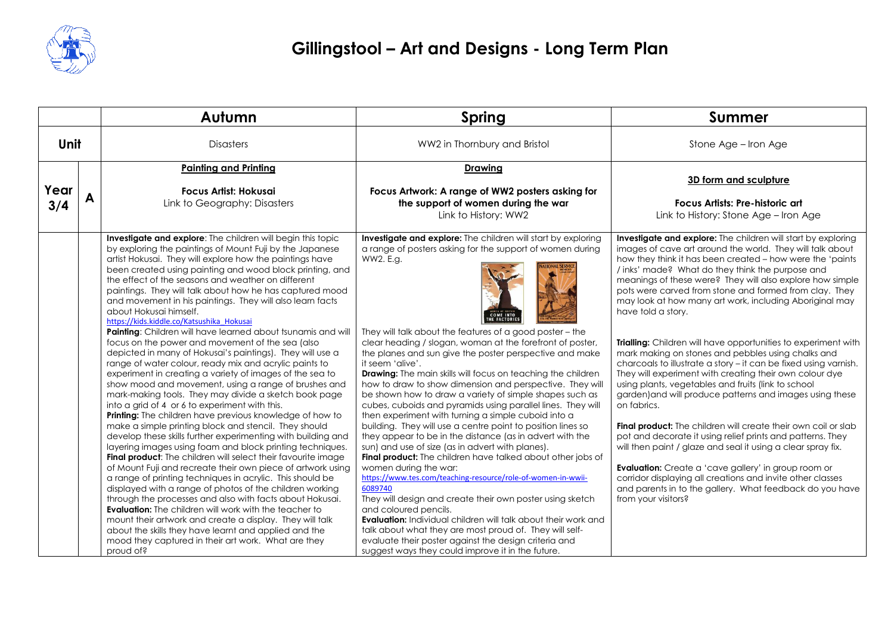

|             |  | Autumn                                                                                                                                                                                                                                                                                                                                                                                                                                                                                                                                                                                                                                                                                                                                                                                                                                                                                                                                                                                                                                                                                                                                                                                                                                                                                                                                                                                                                                                                                                                                                                                                                                                                                                                                                                                                           | Spring                                                                                                                                                                                                                                                                                                                                                                                                                                                                                                                                                                                                                                                                                                                                                                                                                                                                                                                                                                                                                                                                                                                                                                                                                                                                                                                                                        | <b>Summer</b>                                                                                                                                                                                                                                                                                                                                                                                                                                                                                                                                                                                                                                                                                                                                                                                                                                                                                                                                                                                                                                                                                                                                                                                                                                                |
|-------------|--|------------------------------------------------------------------------------------------------------------------------------------------------------------------------------------------------------------------------------------------------------------------------------------------------------------------------------------------------------------------------------------------------------------------------------------------------------------------------------------------------------------------------------------------------------------------------------------------------------------------------------------------------------------------------------------------------------------------------------------------------------------------------------------------------------------------------------------------------------------------------------------------------------------------------------------------------------------------------------------------------------------------------------------------------------------------------------------------------------------------------------------------------------------------------------------------------------------------------------------------------------------------------------------------------------------------------------------------------------------------------------------------------------------------------------------------------------------------------------------------------------------------------------------------------------------------------------------------------------------------------------------------------------------------------------------------------------------------------------------------------------------------------------------------------------------------|---------------------------------------------------------------------------------------------------------------------------------------------------------------------------------------------------------------------------------------------------------------------------------------------------------------------------------------------------------------------------------------------------------------------------------------------------------------------------------------------------------------------------------------------------------------------------------------------------------------------------------------------------------------------------------------------------------------------------------------------------------------------------------------------------------------------------------------------------------------------------------------------------------------------------------------------------------------------------------------------------------------------------------------------------------------------------------------------------------------------------------------------------------------------------------------------------------------------------------------------------------------------------------------------------------------------------------------------------------------|--------------------------------------------------------------------------------------------------------------------------------------------------------------------------------------------------------------------------------------------------------------------------------------------------------------------------------------------------------------------------------------------------------------------------------------------------------------------------------------------------------------------------------------------------------------------------------------------------------------------------------------------------------------------------------------------------------------------------------------------------------------------------------------------------------------------------------------------------------------------------------------------------------------------------------------------------------------------------------------------------------------------------------------------------------------------------------------------------------------------------------------------------------------------------------------------------------------------------------------------------------------|
| <b>Unit</b> |  | <b>Disasters</b>                                                                                                                                                                                                                                                                                                                                                                                                                                                                                                                                                                                                                                                                                                                                                                                                                                                                                                                                                                                                                                                                                                                                                                                                                                                                                                                                                                                                                                                                                                                                                                                                                                                                                                                                                                                                 | WW2 in Thornbury and Bristol                                                                                                                                                                                                                                                                                                                                                                                                                                                                                                                                                                                                                                                                                                                                                                                                                                                                                                                                                                                                                                                                                                                                                                                                                                                                                                                                  | Stone Age - Iron Age                                                                                                                                                                                                                                                                                                                                                                                                                                                                                                                                                                                                                                                                                                                                                                                                                                                                                                                                                                                                                                                                                                                                                                                                                                         |
| Year<br>3/4 |  | <b>Painting and Printing</b><br><b>Focus Artist: Hokusai</b><br>Link to Geography: Disasters                                                                                                                                                                                                                                                                                                                                                                                                                                                                                                                                                                                                                                                                                                                                                                                                                                                                                                                                                                                                                                                                                                                                                                                                                                                                                                                                                                                                                                                                                                                                                                                                                                                                                                                     | <b>Drawing</b><br>Focus Artwork: A range of WW2 posters asking for<br>the support of women during the war<br>Link to History: WW2                                                                                                                                                                                                                                                                                                                                                                                                                                                                                                                                                                                                                                                                                                                                                                                                                                                                                                                                                                                                                                                                                                                                                                                                                             | 3D form and sculpture<br><b>Focus Artists: Pre-historic art</b><br>Link to History: Stone Age - Iron Age                                                                                                                                                                                                                                                                                                                                                                                                                                                                                                                                                                                                                                                                                                                                                                                                                                                                                                                                                                                                                                                                                                                                                     |
|             |  | Investigate and explore: The children will begin this topic<br>by exploring the paintings of Mount Fuji by the Japanese<br>artist Hokusai. They will explore how the paintings have<br>been created using painting and wood block printing, and<br>the effect of the seasons and weather on different<br>paintings. They will talk about how he has captured mood<br>and movement in his paintings. They will also learn facts<br>about Hokusai himself.<br>https://kids.kiddle.co/Katsushika Hokusai<br>Painting: Children will have learned about tsunamis and will<br>focus on the power and movement of the sea (also<br>depicted in many of Hokusai's paintings). They will use a<br>range of water colour, ready mix and acrylic paints to<br>experiment in creating a variety of images of the sea to<br>show mood and movement, using a range of brushes and<br>mark-making tools. They may divide a sketch book page<br>into a grid of 4 or 6 to experiment with this.<br>Printing: The children have previous knowledge of how to<br>make a simple printing block and stencil. They should<br>develop these skills further experimenting with building and<br>layering images using foam and block printing techniques.<br>Final product: The children will select their favourite image<br>of Mount Fuji and recreate their own piece of artwork using<br>a range of printing techniques in acrylic. This should be<br>displayed with a range of photos of the children working<br>through the processes and also with facts about Hokusai.<br><b>Evaluation:</b> The children will work with the teacher to<br>mount their artwork and create a display. They will talk<br>about the skills they have learnt and applied and the<br>mood they captured in their art work. What are they<br>proud of? | Investigate and explore: The children will start by exploring<br>a range of posters asking for the support of women during<br>WW2. E.g.<br>They will talk about the features of a good poster - the<br>clear heading / slogan, woman at the forefront of poster,<br>the planes and sun give the poster perspective and make<br>it seem 'alive'.<br><b>Drawing:</b> The main skills will focus on teaching the children<br>how to draw to show dimension and perspective. They will<br>be shown how to draw a variety of simple shapes such as<br>cubes, cuboids and pyramids using parallel lines. They will<br>then experiment with turning a simple cuboid into a<br>building. They will use a centre point to position lines so<br>they appear to be in the distance (as in advert with the<br>sun) and use of size (as in advert with planes).<br>Final product: The children have talked about other jobs of<br>women during the war:<br>https://www.tes.com/teaching-resource/role-of-women-in-wwii-<br>6089740<br>They will design and create their own poster using sketch<br>and coloured pencils.<br><b>Evaluation:</b> Individual children will talk about their work and<br>talk about what they are most proud of. They will self-<br>evaluate their poster against the design criteria and<br>suggest ways they could improve it in the future. | Investigate and explore: The children will start by exploring<br>images of cave art around the world. They will talk about<br>how they think it has been created - how were the 'paints<br>/ inks' made? What do they think the purpose and<br>meanings of these were? They will also explore how simple<br>pots were carved from stone and formed from clay. They<br>may look at how many art work, including Aboriginal may<br>have told a story.<br>Trialling: Children will have opportunities to experiment with<br>mark making on stones and pebbles using chalks and<br>charcoals to illustrate a story - it can be fixed using varnish.<br>They will experiment with creating their own colour dye<br>using plants, vegetables and fruits (link to school<br>garden) and will produce patterns and images using these<br>on fabrics.<br>Final product: The children will create their own coil or slab<br>pot and decorate it using relief prints and patterns. They<br>will then paint / glaze and seal it using a clear spray fix.<br><b>Evaluation:</b> Create a 'cave gallery' in group room or<br>corridor displaying all creations and invite other classes<br>and parents in to the gallery. What feedback do you have<br>from your visitors? |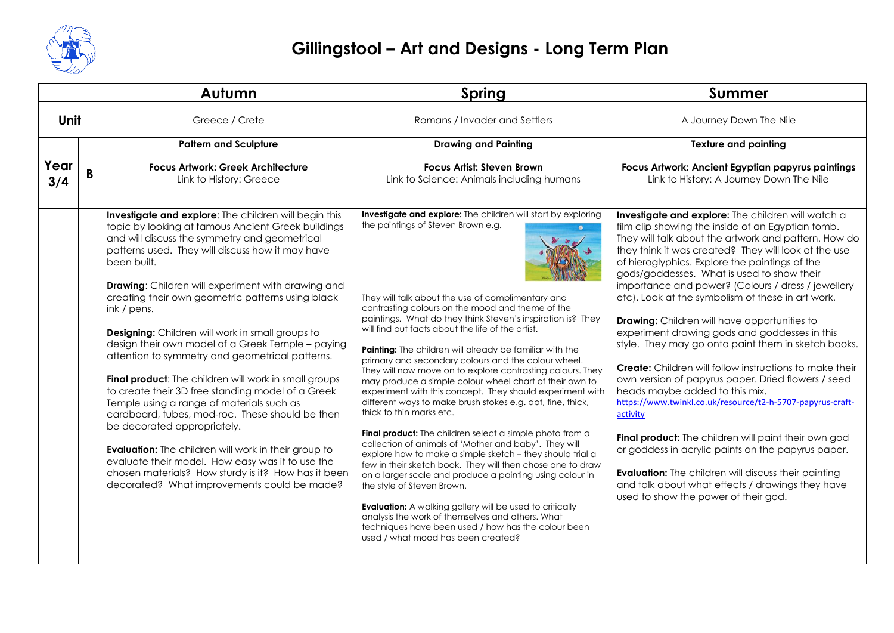

|             |  | Autumn                                                                                                                                                                                                                                                                                                                                                                                                                                                                                                                                                                                                                                                                                                                                                                                                                                                   | <b>Spring</b>                                                                                                                                                                                                                                                                                                                                                                                                                                                                                                                                                                                                                                                                                                                                                                                                                                        | Summer                                                                                                                                                                                                                                                                                                                                                                                                                                                                                                                                                                                                                                                                                                                                                                                                                                                                                                                                                                |
|-------------|--|----------------------------------------------------------------------------------------------------------------------------------------------------------------------------------------------------------------------------------------------------------------------------------------------------------------------------------------------------------------------------------------------------------------------------------------------------------------------------------------------------------------------------------------------------------------------------------------------------------------------------------------------------------------------------------------------------------------------------------------------------------------------------------------------------------------------------------------------------------|------------------------------------------------------------------------------------------------------------------------------------------------------------------------------------------------------------------------------------------------------------------------------------------------------------------------------------------------------------------------------------------------------------------------------------------------------------------------------------------------------------------------------------------------------------------------------------------------------------------------------------------------------------------------------------------------------------------------------------------------------------------------------------------------------------------------------------------------------|-----------------------------------------------------------------------------------------------------------------------------------------------------------------------------------------------------------------------------------------------------------------------------------------------------------------------------------------------------------------------------------------------------------------------------------------------------------------------------------------------------------------------------------------------------------------------------------------------------------------------------------------------------------------------------------------------------------------------------------------------------------------------------------------------------------------------------------------------------------------------------------------------------------------------------------------------------------------------|
| Unit        |  | Greece / Crete                                                                                                                                                                                                                                                                                                                                                                                                                                                                                                                                                                                                                                                                                                                                                                                                                                           | Romans / Invader and Settlers                                                                                                                                                                                                                                                                                                                                                                                                                                                                                                                                                                                                                                                                                                                                                                                                                        | A Journey Down The Nile                                                                                                                                                                                                                                                                                                                                                                                                                                                                                                                                                                                                                                                                                                                                                                                                                                                                                                                                               |
| Year<br>3/4 |  | <b>Pattern and Sculpture</b><br><b>Focus Artwork: Greek Architecture</b><br>Link to History: Greece<br>Investigate and explore: The children will begin this<br>topic by looking at famous Ancient Greek buildings<br>and will discuss the symmetry and geometrical<br>patterns used. They will discuss how it may have<br>been built.<br><b>Drawing:</b> Children will experiment with drawing and<br>creating their own geometric patterns using black<br>ink / pens.<br><b>Designing:</b> Children will work in small groups to<br>design their own model of a Greek Temple - paying<br>attention to symmetry and geometrical patterns.<br>Final product: The children will work in small groups<br>to create their 3D free standing model of a Greek<br>Temple using a range of materials such as<br>cardboard, tubes, mod-roc. These should be then | <b>Drawing and Painting</b><br><b>Focus Artist: Steven Brown</b><br>Link to Science: Animals including humans<br>Investigate and explore: The children will start by exploring<br>the paintings of Steven Brown e.g.<br>They will talk about the use of complimentary and<br>contrasting colours on the mood and theme of the<br>paintings. What do they think Steven's inspiration is? They<br>will find out facts about the life of the artist.<br>Painting: The children will already be familiar with the<br>primary and secondary colours and the colour wheel.<br>They will now move on to explore contrasting colours. They<br>may produce a simple colour wheel chart of their own to<br>experiment with this concept. They should experiment with<br>different ways to make brush stokes e.g. dot, fine, thick,<br>thick to thin marks etc. | <b>Texture and painting</b><br>Focus Artwork: Ancient Egyptian papyrus paintings<br>Link to History: A Journey Down The Nile<br>Investigate and explore: The children will watch a<br>film clip showing the inside of an Egyptian tomb.<br>They will talk about the artwork and pattern. How do<br>they think it was created? They will look at the use<br>of hieroglyphics. Explore the paintings of the<br>gods/goddesses. What is used to show their<br>importance and power? (Colours / dress / jewellery<br>etc). Look at the symbolism of these in art work.<br><b>Drawing:</b> Children will have opportunities to<br>experiment drawing gods and goddesses in this<br>style. They may go onto paint them in sketch books.<br><b>Create:</b> Children will follow instructions to make their<br>own version of papyrus paper. Dried flowers / seed<br>heads maybe added to this mix.<br>https://www.twinkl.co.uk/resource/t2-h-5707-papyrus-craft-<br>activity |
|             |  | be decorated appropriately.<br><b>Evaluation:</b> The children will work in their group to<br>evaluate their model. How easy was it to use the<br>chosen materials? How sturdy is it? How has it been<br>decorated? What improvements could be made?                                                                                                                                                                                                                                                                                                                                                                                                                                                                                                                                                                                                     | Final product: The children select a simple photo from a<br>collection of animals of 'Mother and baby'. They will<br>explore how to make a simple sketch - they should trial a<br>few in their sketch book. They will then chose one to draw<br>on a larger scale and produce a painting using colour in<br>the style of Steven Brown.<br><b>Evaluation:</b> A walking gallery will be used to critically<br>analysis the work of themselves and others. What<br>techniques have been used / how has the colour been<br>used / what mood has been created?                                                                                                                                                                                                                                                                                           | Final product: The children will paint their own god<br>or goddess in acrylic paints on the papyrus paper.<br><b>Evaluation:</b> The children will discuss their painting<br>and talk about what effects / drawings they have<br>used to show the power of their god.                                                                                                                                                                                                                                                                                                                                                                                                                                                                                                                                                                                                                                                                                                 |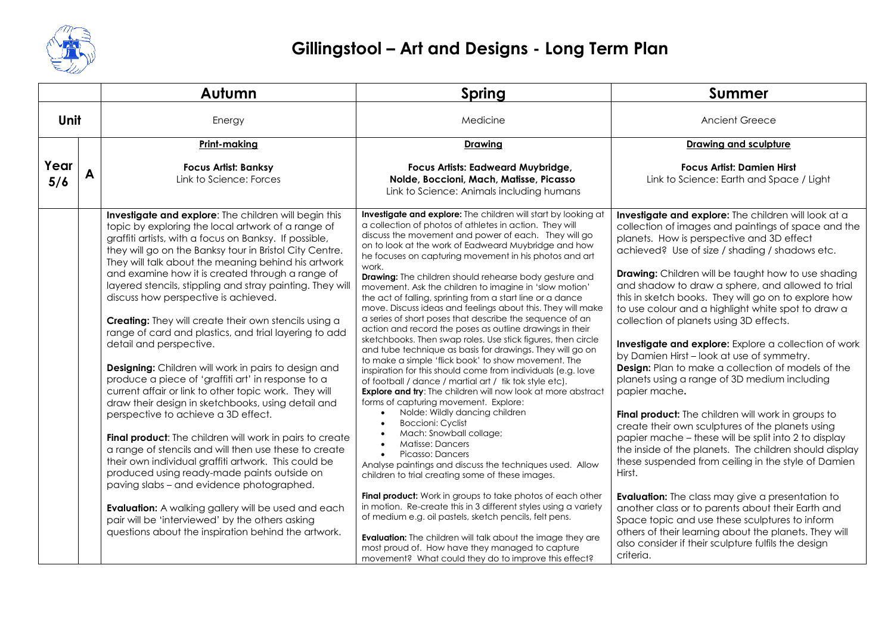

|             |  | Autumn                                                                                                                                                                                                                                                                                                                                                                                                                                                                                                                                                                                                                                                                                                                                                                                                                                                                                                                                                                                                                                                                                                                                                                                                                                                                                                                                  | <b>Spring</b>                                                                                                                                                                                                                                                                                                                                                                                                                                                                                                                                                                                                                                                                                                                                                                                                                                                                                                                                                                                                                                                                                                                                                                                                                                                                                                                                                                                                                                                                                                                                                                                                                                                                                                                                            | <b>Summer</b>                                                                                                                                                                                                                                                                                                                                                                                                                                                                                                                                                                                                                                                                                                                                                                                                                                                                                                                                                                                                                                                                                                                                                                                                                                                                                                                  |
|-------------|--|-----------------------------------------------------------------------------------------------------------------------------------------------------------------------------------------------------------------------------------------------------------------------------------------------------------------------------------------------------------------------------------------------------------------------------------------------------------------------------------------------------------------------------------------------------------------------------------------------------------------------------------------------------------------------------------------------------------------------------------------------------------------------------------------------------------------------------------------------------------------------------------------------------------------------------------------------------------------------------------------------------------------------------------------------------------------------------------------------------------------------------------------------------------------------------------------------------------------------------------------------------------------------------------------------------------------------------------------|----------------------------------------------------------------------------------------------------------------------------------------------------------------------------------------------------------------------------------------------------------------------------------------------------------------------------------------------------------------------------------------------------------------------------------------------------------------------------------------------------------------------------------------------------------------------------------------------------------------------------------------------------------------------------------------------------------------------------------------------------------------------------------------------------------------------------------------------------------------------------------------------------------------------------------------------------------------------------------------------------------------------------------------------------------------------------------------------------------------------------------------------------------------------------------------------------------------------------------------------------------------------------------------------------------------------------------------------------------------------------------------------------------------------------------------------------------------------------------------------------------------------------------------------------------------------------------------------------------------------------------------------------------------------------------------------------------------------------------------------------------|--------------------------------------------------------------------------------------------------------------------------------------------------------------------------------------------------------------------------------------------------------------------------------------------------------------------------------------------------------------------------------------------------------------------------------------------------------------------------------------------------------------------------------------------------------------------------------------------------------------------------------------------------------------------------------------------------------------------------------------------------------------------------------------------------------------------------------------------------------------------------------------------------------------------------------------------------------------------------------------------------------------------------------------------------------------------------------------------------------------------------------------------------------------------------------------------------------------------------------------------------------------------------------------------------------------------------------|
| Unit        |  | Energy                                                                                                                                                                                                                                                                                                                                                                                                                                                                                                                                                                                                                                                                                                                                                                                                                                                                                                                                                                                                                                                                                                                                                                                                                                                                                                                                  | Medicine                                                                                                                                                                                                                                                                                                                                                                                                                                                                                                                                                                                                                                                                                                                                                                                                                                                                                                                                                                                                                                                                                                                                                                                                                                                                                                                                                                                                                                                                                                                                                                                                                                                                                                                                                 | Ancient Greece                                                                                                                                                                                                                                                                                                                                                                                                                                                                                                                                                                                                                                                                                                                                                                                                                                                                                                                                                                                                                                                                                                                                                                                                                                                                                                                 |
|             |  | Print-making                                                                                                                                                                                                                                                                                                                                                                                                                                                                                                                                                                                                                                                                                                                                                                                                                                                                                                                                                                                                                                                                                                                                                                                                                                                                                                                            | Drawing                                                                                                                                                                                                                                                                                                                                                                                                                                                                                                                                                                                                                                                                                                                                                                                                                                                                                                                                                                                                                                                                                                                                                                                                                                                                                                                                                                                                                                                                                                                                                                                                                                                                                                                                                  | Drawing and sculpture                                                                                                                                                                                                                                                                                                                                                                                                                                                                                                                                                                                                                                                                                                                                                                                                                                                                                                                                                                                                                                                                                                                                                                                                                                                                                                          |
| Year<br>5/6 |  | <b>Focus Artist: Banksy</b><br>Link to Science: Forces                                                                                                                                                                                                                                                                                                                                                                                                                                                                                                                                                                                                                                                                                                                                                                                                                                                                                                                                                                                                                                                                                                                                                                                                                                                                                  | Focus Artists: Eadweard Muybridge,<br>Nolde, Boccioni, Mach, Matisse, Picasso<br>Link to Science: Animals including humans                                                                                                                                                                                                                                                                                                                                                                                                                                                                                                                                                                                                                                                                                                                                                                                                                                                                                                                                                                                                                                                                                                                                                                                                                                                                                                                                                                                                                                                                                                                                                                                                                               | <b>Focus Artist: Damien Hirst</b><br>Link to Science: Earth and Space / Light                                                                                                                                                                                                                                                                                                                                                                                                                                                                                                                                                                                                                                                                                                                                                                                                                                                                                                                                                                                                                                                                                                                                                                                                                                                  |
|             |  | Investigate and explore: The children will begin this<br>topic by exploring the local artwork of a range of<br>graffiti artists, with a focus on Banksy. If possible,<br>they will go on the Banksy tour in Bristol City Centre.<br>They will talk about the meaning behind his artwork<br>and examine how it is created through a range of<br>layered stencils, stippling and stray painting. They will<br>discuss how perspective is achieved.<br><b>Creating:</b> They will create their own stencils using a<br>range of card and plastics, and trial layering to add<br>detail and perspective.<br><b>Designing:</b> Children will work in pairs to design and<br>produce a piece of 'graffiti art' in response to a<br>current affair or link to other topic work. They will<br>draw their design in sketchbooks, using detail and<br>perspective to achieve a 3D effect.<br><b>Final product:</b> The children will work in pairs to create<br>a range of stencils and will then use these to create<br>their own individual graffiti artwork. This could be<br>produced using ready-made paints outside on<br>paving slabs - and evidence photographed.<br><b>Evaluation:</b> A walking gallery will be used and each<br>pair will be 'interviewed' by the others asking<br>questions about the inspiration behind the artwork. | Investigate and explore: The children will start by looking at<br>a collection of photos of athletes in action. They will<br>discuss the movement and power of each. They will go<br>on to look at the work of Eadweard Muybridge and how<br>he focuses on capturing movement in his photos and art<br>work.<br><b>Drawing:</b> The children should rehearse body gesture and<br>movement. Ask the children to imagine in 'slow motion'<br>the act of falling, sprinting from a start line or a dance<br>move. Discuss ideas and feelings about this. They will make<br>a series of short poses that describe the sequence of an<br>action and record the poses as outline drawings in their<br>sketchbooks. Then swap roles. Use stick figures, then circle<br>and tube technique as basis for drawings. They will go on<br>to make a simple 'flick book' to show movement. The<br>inspiration for this should come from individuals (e.g. love<br>of football / dance / martial art / tik tok style etc).<br><b>Explore and try:</b> The children will now look at more abstract<br>forms of capturing movement. Explore:<br>Nolde: Wildly dancing children<br><b>Boccioni: Cyclist</b><br>Mach: Snowball collage;<br>Matisse: Dancers<br>Picasso: Dancers<br>Analyse paintings and discuss the techniques used. Allow<br>children to trial creating some of these images.<br>Final product: Work in groups to take photos of each other<br>in motion. Re-create this in 3 different styles using a variety<br>of medium e.g. oil pastels, sketch pencils, felt pens.<br><b>Evaluation:</b> The children will talk about the image they are<br>most proud of. How have they managed to capture<br>movement? What could they do to improve this effect? | Investigate and explore: The children will look at a<br>collection of images and paintings of space and the<br>planets. How is perspective and 3D effect<br>achieved? Use of size / shading / shadows etc.<br><b>Drawing:</b> Children will be taught how to use shading<br>and shadow to draw a sphere, and allowed to trial<br>this in sketch books. They will go on to explore how<br>to use colour and a highlight white spot to draw a<br>collection of planets using 3D effects.<br><b>Investigate and explore:</b> Explore a collection of work<br>by Damien Hirst - look at use of symmetry.<br><b>Design:</b> Plan to make a collection of models of the<br>planets using a range of 3D medium including<br>papier mache.<br>Final product: The children will work in groups to<br>create their own sculptures of the planets using<br>papier mache - these will be split into 2 to display<br>the inside of the planets. The children should display<br>these suspended from ceiling in the style of Damien<br>Hirst.<br><b>Evaluation:</b> The class may give a presentation to<br>another class or to parents about their Earth and<br>Space topic and use these sculptures to inform<br>others of their learning about the planets. They will<br>also consider if their sculpture fulfils the design<br>criteria. |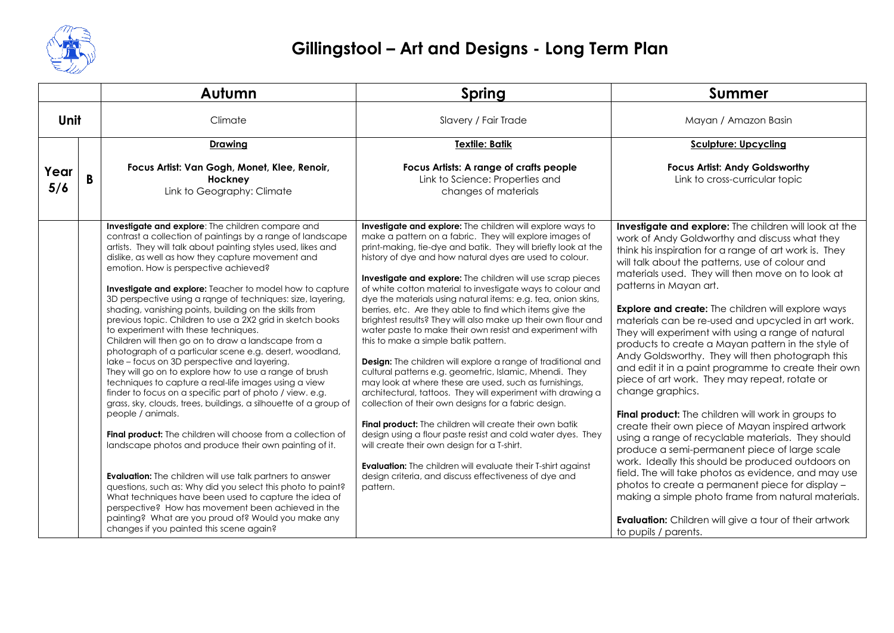

|             |  | Autumn                                                                                                                                                                                                                                                                                                                                                                                                                                                                                                                                                                                                                                                                                                                                                                                                                                                                                                                                                                                                                                                                                                                                                                                                                                                                                                                                                                                                                                                                                                    | Spring                                                                                                                                                                                                                                                                                                                                                                                                                                                                                                                                                                                                                                                                                                                                                                                                                                                                                                                                                                                                                                                                                                                                                                                                                                                                                                                    | <b>Summer</b>                                                                                                                                                                                                                                                                                                                                                                                                                                                                                                                                                                                                                                                                                                                                                                                                                                                                                                                                                                                                                                                                                                                                                                                                                                         |
|-------------|--|-----------------------------------------------------------------------------------------------------------------------------------------------------------------------------------------------------------------------------------------------------------------------------------------------------------------------------------------------------------------------------------------------------------------------------------------------------------------------------------------------------------------------------------------------------------------------------------------------------------------------------------------------------------------------------------------------------------------------------------------------------------------------------------------------------------------------------------------------------------------------------------------------------------------------------------------------------------------------------------------------------------------------------------------------------------------------------------------------------------------------------------------------------------------------------------------------------------------------------------------------------------------------------------------------------------------------------------------------------------------------------------------------------------------------------------------------------------------------------------------------------------|---------------------------------------------------------------------------------------------------------------------------------------------------------------------------------------------------------------------------------------------------------------------------------------------------------------------------------------------------------------------------------------------------------------------------------------------------------------------------------------------------------------------------------------------------------------------------------------------------------------------------------------------------------------------------------------------------------------------------------------------------------------------------------------------------------------------------------------------------------------------------------------------------------------------------------------------------------------------------------------------------------------------------------------------------------------------------------------------------------------------------------------------------------------------------------------------------------------------------------------------------------------------------------------------------------------------------|-------------------------------------------------------------------------------------------------------------------------------------------------------------------------------------------------------------------------------------------------------------------------------------------------------------------------------------------------------------------------------------------------------------------------------------------------------------------------------------------------------------------------------------------------------------------------------------------------------------------------------------------------------------------------------------------------------------------------------------------------------------------------------------------------------------------------------------------------------------------------------------------------------------------------------------------------------------------------------------------------------------------------------------------------------------------------------------------------------------------------------------------------------------------------------------------------------------------------------------------------------|
| Unit        |  | Climate                                                                                                                                                                                                                                                                                                                                                                                                                                                                                                                                                                                                                                                                                                                                                                                                                                                                                                                                                                                                                                                                                                                                                                                                                                                                                                                                                                                                                                                                                                   | Slavery / Fair Trade                                                                                                                                                                                                                                                                                                                                                                                                                                                                                                                                                                                                                                                                                                                                                                                                                                                                                                                                                                                                                                                                                                                                                                                                                                                                                                      | Mayan / Amazon Basin                                                                                                                                                                                                                                                                                                                                                                                                                                                                                                                                                                                                                                                                                                                                                                                                                                                                                                                                                                                                                                                                                                                                                                                                                                  |
|             |  | <b>Drawing</b>                                                                                                                                                                                                                                                                                                                                                                                                                                                                                                                                                                                                                                                                                                                                                                                                                                                                                                                                                                                                                                                                                                                                                                                                                                                                                                                                                                                                                                                                                            | <b>Textile: Batik</b>                                                                                                                                                                                                                                                                                                                                                                                                                                                                                                                                                                                                                                                                                                                                                                                                                                                                                                                                                                                                                                                                                                                                                                                                                                                                                                     | <b>Sculpture: Upcycling</b>                                                                                                                                                                                                                                                                                                                                                                                                                                                                                                                                                                                                                                                                                                                                                                                                                                                                                                                                                                                                                                                                                                                                                                                                                           |
| Year<br>5/6 |  | Focus Artist: Van Gogh, Monet, Klee, Renoir,<br>Hockney<br>Link to Geography: Climate                                                                                                                                                                                                                                                                                                                                                                                                                                                                                                                                                                                                                                                                                                                                                                                                                                                                                                                                                                                                                                                                                                                                                                                                                                                                                                                                                                                                                     | Focus Artists: A range of crafts people<br>Link to Science: Properties and<br>changes of materials                                                                                                                                                                                                                                                                                                                                                                                                                                                                                                                                                                                                                                                                                                                                                                                                                                                                                                                                                                                                                                                                                                                                                                                                                        | <b>Focus Artist: Andy Goldsworthy</b><br>Link to cross-curricular topic                                                                                                                                                                                                                                                                                                                                                                                                                                                                                                                                                                                                                                                                                                                                                                                                                                                                                                                                                                                                                                                                                                                                                                               |
|             |  | Investigate and explore: The children compare and<br>contrast a collection of paintings by a range of landscape<br>artists. They will talk about painting styles used, likes and<br>dislike, as well as how they capture movement and<br>emotion. How is perspective achieved?<br><b>Investigate and explore:</b> Teacher to model how to capture<br>3D perspective using a range of techniques: size, layering,<br>shading, vanishing points, building on the skills from<br>previous topic. Children to use a 2X2 grid in sketch books<br>to experiment with these techniques.<br>Children will then go on to draw a landscape from a<br>photograph of a particular scene e.g. desert, woodland,<br>lake – focus on 3D perspective and layering.<br>They will go on to explore how to use a range of brush<br>techniques to capture a real-life images using a view<br>finder to focus on a specific part of photo / view. e.g.<br>grass, sky, clouds, trees, buildings, a silhouette of a group of<br>people / animals.<br>Final product: The children will choose from a collection of<br>landscape photos and produce their own painting of it.<br><b>Evaluation:</b> The children will use talk partners to answer<br>questions, such as: Why did you select this photo to paint?<br>What techniques have been used to capture the idea of<br>perspective? How has movement been achieved in the<br>painting? What are you proud of? Would you make any<br>changes if you painted this scene again? | Investigate and explore: The children will explore ways to<br>make a pattern on a fabric. They will explore images of<br>print-making, tie-dye and batik. They will briefly look at the<br>history of dye and how natural dyes are used to colour.<br><b>Investigate and explore:</b> The children will use scrap pieces<br>of white cotton material to investigate ways to colour and<br>dye the materials using natural items: e.g. tea, onion skins,<br>berries, etc. Are they able to find which items give the<br>brightest results? They will also make up their own flour and<br>water paste to make their own resist and experiment with<br>this to make a simple batik pattern.<br>Design: The children will explore a range of traditional and<br>cultural patterns e.g. geometric, Islamic, Mhendi. They<br>may look at where these are used, such as furnishings,<br>architectural, tattoos. They will experiment with drawing a<br>collection of their own designs for a fabric design.<br>Final product: The children will create their own batik<br>design using a flour paste resist and cold water dyes. They<br>will create their own design for a T-shirt.<br><b>Evaluation:</b> The children will evaluate their T-shirt against<br>design criteria, and discuss effectiveness of dye and<br>pattern. | Investigate and explore: The children will look at the<br>work of Andy Goldworthy and discuss what they<br>think his inspiration for a range of art work is. They<br>will talk about the patterns, use of colour and<br>materials used. They will then move on to look at<br>patterns in Mayan art.<br><b>Explore and create:</b> The children will explore ways<br>materials can be re-used and upcycled in art work.<br>They will experiment with using a range of natural<br>products to create a Mayan pattern in the style of<br>Andy Goldsworthy. They will then photograph this<br>and edit it in a paint programme to create their own<br>piece of art work. They may repeat, rotate or<br>change graphics.<br><b>Final product:</b> The children will work in groups to<br>create their own piece of Mayan inspired artwork<br>using a range of recyclable materials. They should<br>produce a semi-permanent piece of large scale<br>work. Ideally this should be produced outdoors on<br>field. The will take photos as evidence, and may use<br>photos to create a permanent piece for display -<br>making a simple photo frame from natural materials.<br>Evaluation: Children will give a tour of their artwork<br>to pupils / parents. |